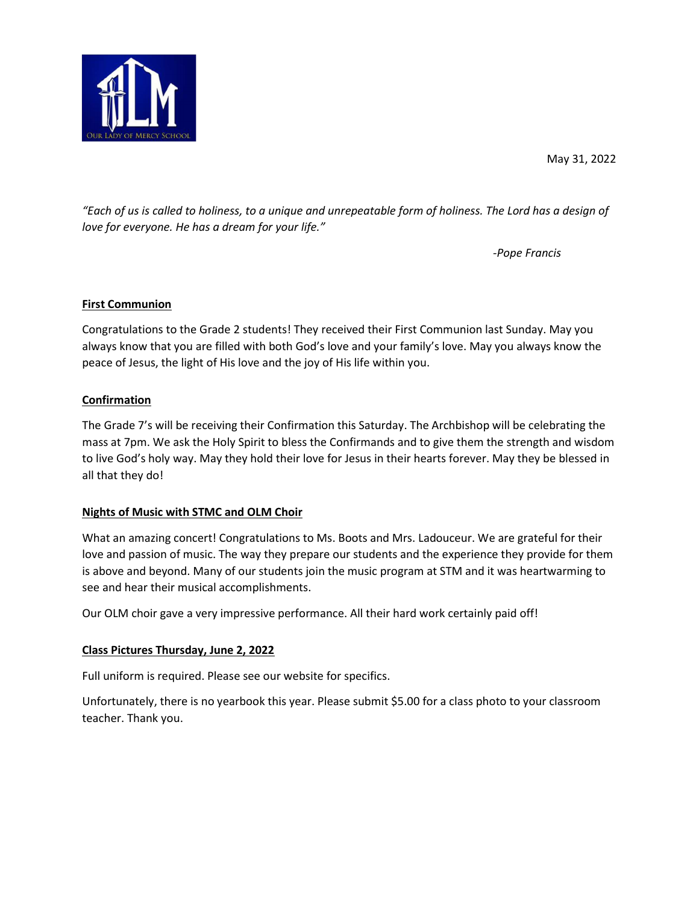

May 31, 2022

"Each of us is called to holiness, to a unique and unrepeatable form of holiness. The Lord has a design of love for everyone. He has a dream for your life."

-Pope Francis

# First Communion

Congratulations to the Grade 2 students! They received their First Communion last Sunday. May you always know that you are filled with both God's love and your family's love. May you always know the peace of Jesus, the light of His love and the joy of His life within you.

## Confirmation

The Grade 7's will be receiving their Confirmation this Saturday. The Archbishop will be celebrating the mass at 7pm. We ask the Holy Spirit to bless the Confirmands and to give them the strength and wisdom to live God's holy way. May they hold their love for Jesus in their hearts forever. May they be blessed in all that they do!

# Nights of Music with STMC and OLM Choir

What an amazing concert! Congratulations to Ms. Boots and Mrs. Ladouceur. We are grateful for their love and passion of music. The way they prepare our students and the experience they provide for them is above and beyond. Many of our students join the music program at STM and it was heartwarming to see and hear their musical accomplishments.

Our OLM choir gave a very impressive performance. All their hard work certainly paid off!

#### Class Pictures Thursday, June 2, 2022

Full uniform is required. Please see our website for specifics.

Unfortunately, there is no yearbook this year. Please submit \$5.00 for a class photo to your classroom teacher. Thank you.